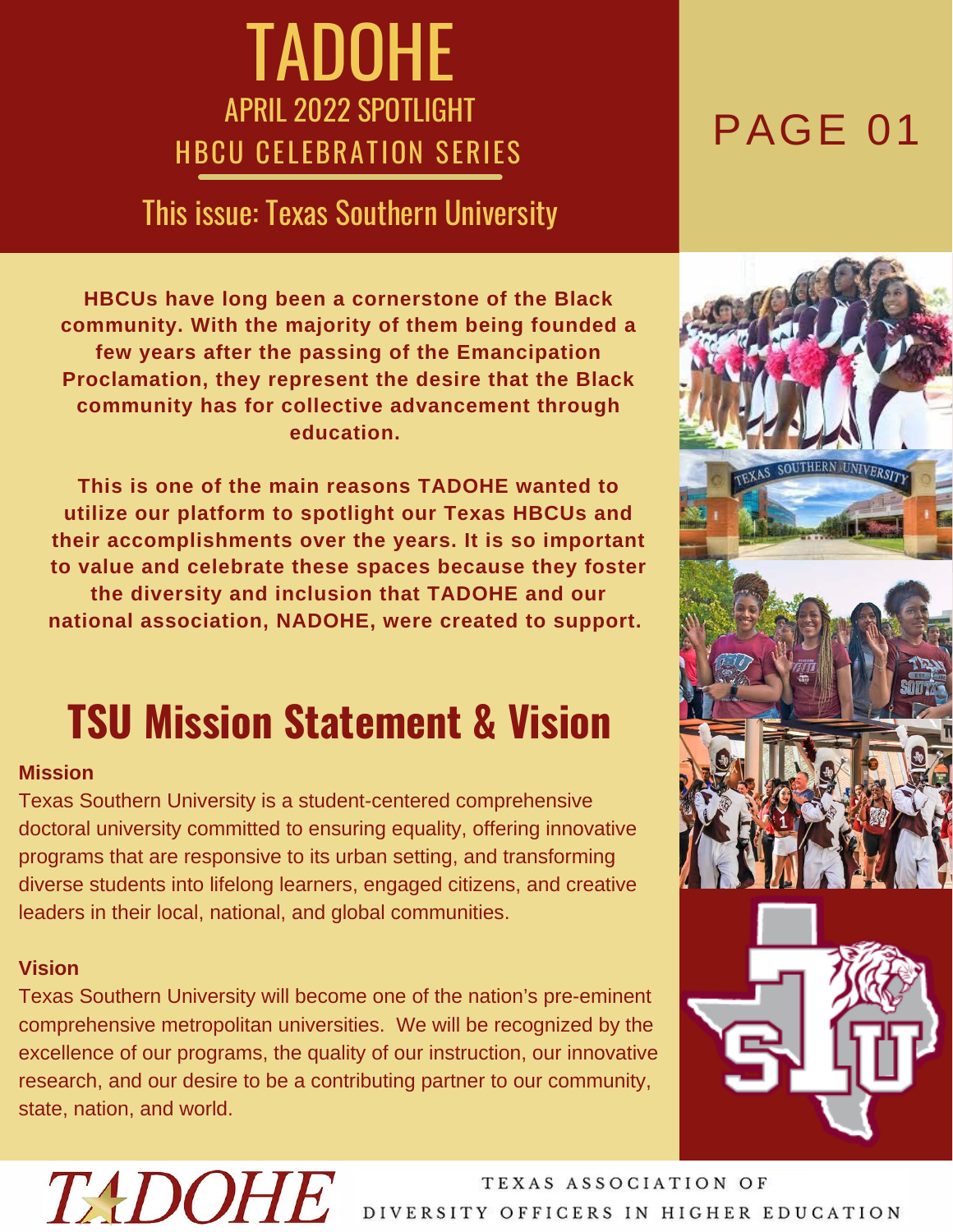### TADOHE APRIL 2022 SPOTLIGHT AFRIL ZUZZ SFUILIUMI

### This issue: Texas Southern University

**HBCUs have long been a cornerstone of the Black community. With the majority of them being founded a few years after the passing of the Emancipation Proclamation, they represent the desire that the Black community has for collective advancement through education.**

**This is one of the main reasons TADOHE wanted to utilize our platform to spotlight our Texas HBCUs and their accomplishments over the years. It is so important to value and celebrate these spaces because they foster the diversity and inclusion that TADOHE and our national association, NADOHE, were created to support.**

### **TSU Mission Statement & Vision**

#### **Mission**

Texas Southern University is a student-centered comprehensive doctoral university committed to ensuring equality, offering innovative programs that are responsive to its urban setting, and transforming diverse students into lifelong learners, engaged citizens, and creative leaders in their local, national, and global communities.

#### **Vision**

Texas Southern University will become one of the nation's pre-eminent comprehensive metropolitan universities. We will be recognized by the excellence of our programs, the quality of our instruction, our innovative research, and our desire to be a contributing partner to our community, state, nation, and world.



## TADOHE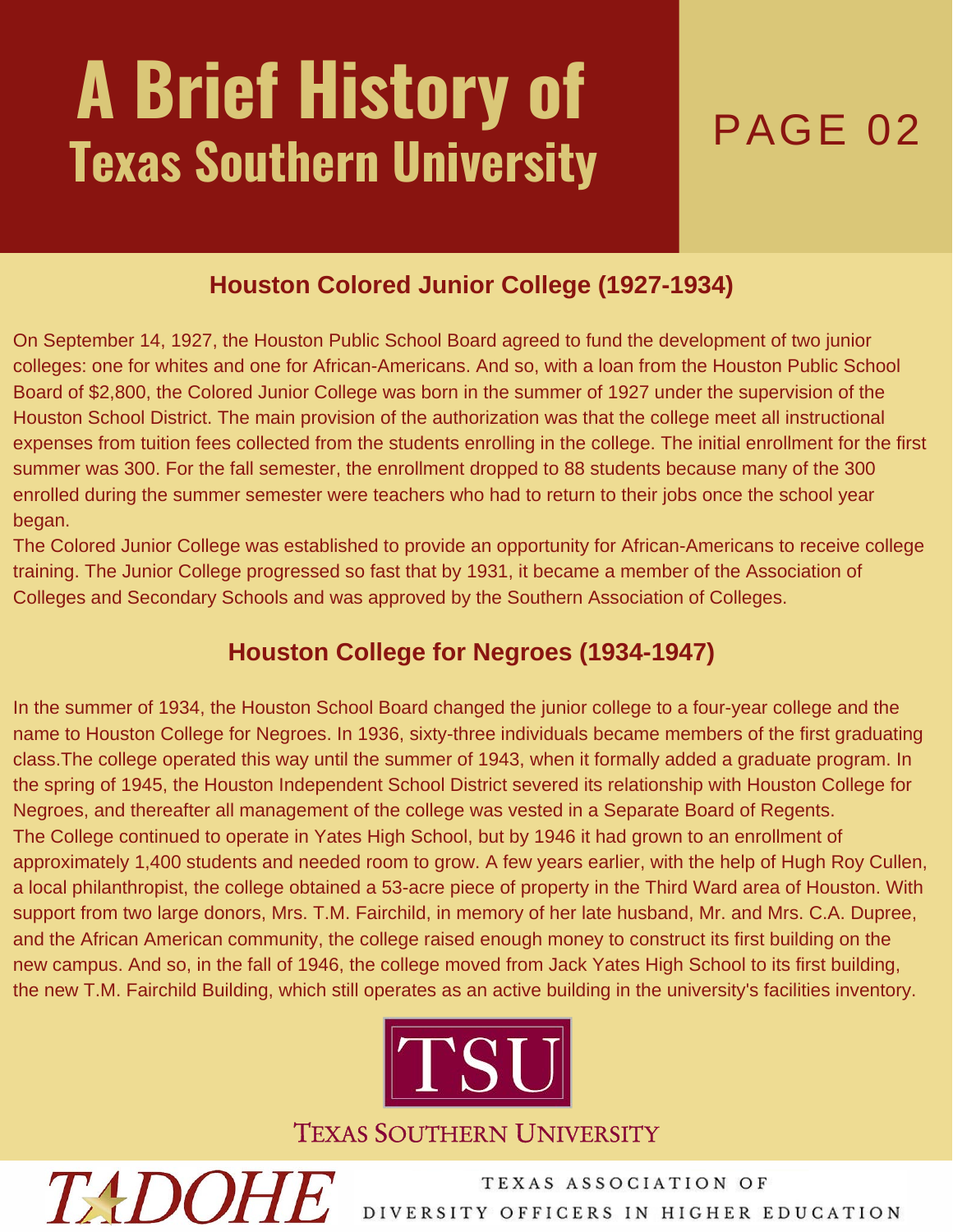# **A Brief History of Texas Southern University** PAGE 02

### **Houston Colored Junior College (1927-1934)**

On September 14, 1927, the Houston Public School Board agreed to fund the development of two junior colleges: one for whites and one for African-Americans. And so, with a loan from the Houston Public School Board of \$2,800, the Colored Junior College was born in the summer of 1927 under the supervision of the Houston School District. The main provision of the authorization was that the college meet all instructional expenses from tuition fees collected from the students enrolling in the college. The initial enrollment for the first summer was 300. For the fall semester, the enrollment dropped to 88 students because many of the 300 enrolled during the summer semester were teachers who had to return to their jobs once the school year began.

The Colored Junior College was established to provide an opportunity for African-Americans to receive college training. The Junior College progressed so fast that by 1931, it became a member of the Association of Colleges and Secondary Schools and was approved by the Southern Association of Colleges.

### **Houston College for Negroes (1934-1947)**

In the summer of 1934, the Houston School Board changed the junior college to a four-year college and the name to Houston College for Negroes. In 1936, sixty-three individuals became members of the first graduating class.The college operated this way until the summer of 1943, when it formally added a graduate program. In the spring of 1945, the Houston Independent School District severed its relationship with Houston College for Negroes, and thereafter all management of the college was vested in a Separate Board of Regents. The College continued to operate in Yates High School, but by 1946 it had grown to an enrollment of approximately 1,400 students and needed room to grow. A few years earlier, with the help of Hugh Roy Cullen, a local philanthropist, the college obtained a 53-acre piece of property in the Third Ward area of Houston. With support from two large donors, Mrs. T.M. Fairchild, in memory of her late husband, Mr. and Mrs. C.A. Dupree, and the African American community, the college raised enough money to construct its first building on the new campus. And so, in the fall of 1946, the college moved from Jack Yates High School to its first building, the new T.M. Fairchild Building, which still operates as an active building in the university's facilities inventory.



**TEXAS SOUTHERN UNIVERSITY** 

**TADOHE**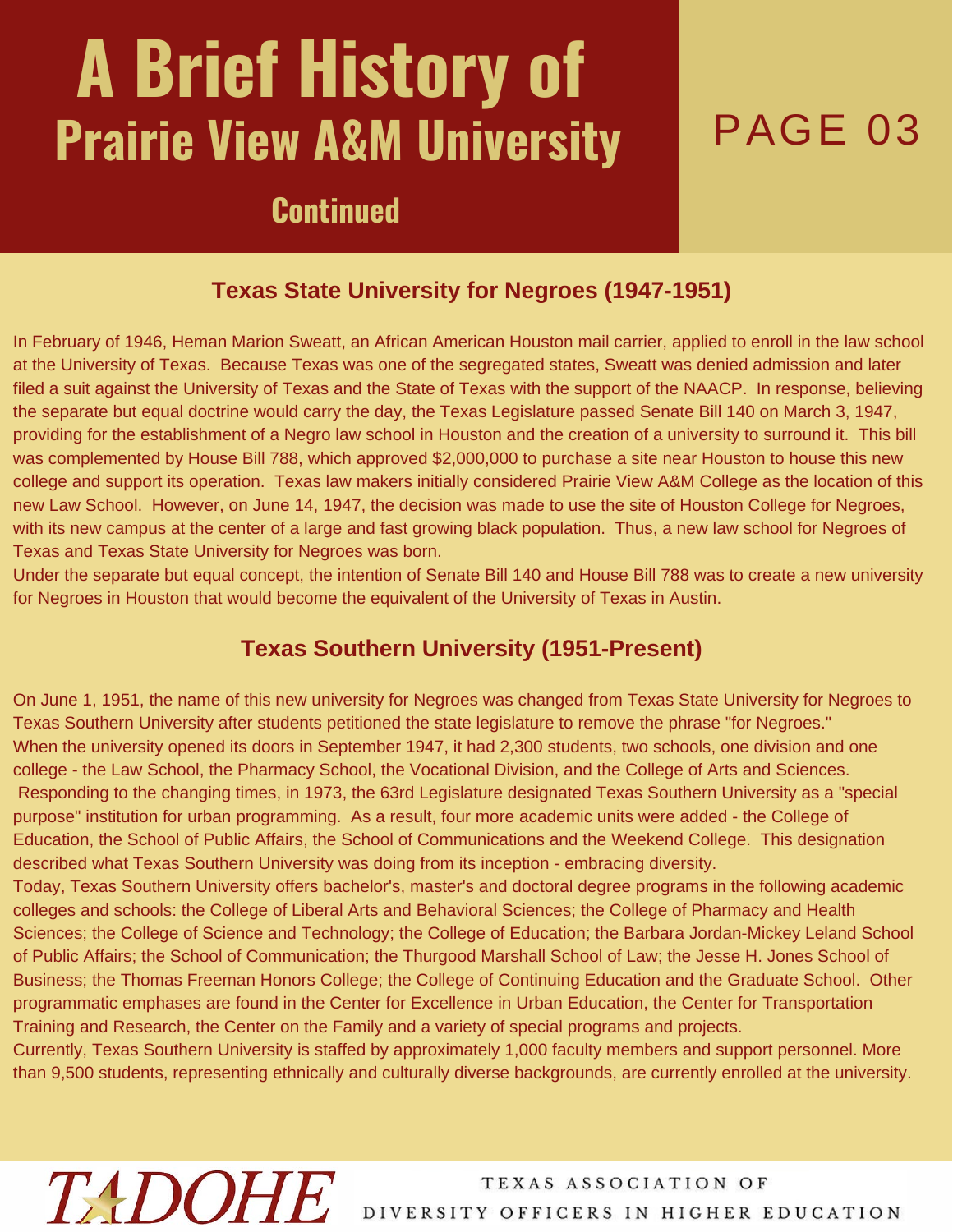# **A Brief History of Prairie View A&M University PAGE 03**

### **Continued**

#### **Texas State University for Negroes (1947-1951)**

In February of 1946, Heman Marion Sweatt, an African American Houston mail carrier, applied to enroll in the law school at the University of Texas. Because Texas was one of the segregated states, Sweatt was denied admission and later filed a suit against the University of Texas and the State of Texas with the support of the NAACP. In response, believing the separate but equal doctrine would carry the day, the Texas Legislature passed Senate Bill 140 on March 3, 1947, providing for the establishment of a Negro law school in Houston and the creation of a university to surround it. This bill was complemented by House Bill 788, which approved \$2,000,000 to purchase a site near Houston to house this new college and support its operation. Texas law makers initially considered Prairie View A&M College as the location of this new Law School. However, on June 14, 1947, the decision was made to use the site of Houston College for Negroes, with its new campus at the center of a large and fast growing black population. Thus, a new law school for Negroes of Texas and Texas State University for Negroes was born.

Under the separate but equal concept, the intention of Senate Bill 140 and House Bill 788 was to create a new university for Negroes in Houston that would become the equivalent of the University of Texas in Austin.

#### **Texas Southern University (1951-Present)**

On June 1, 1951, the name of this new university for Negroes was changed from Texas State University for Negroes to Texas Southern University after students petitioned the state legislature to remove the phrase "for Negroes." When the university opened its doors in September 1947, it had 2,300 students, two schools, one division and one college - the Law School, the Pharmacy School, the Vocational Division, and the College of Arts and Sciences. Responding to the changing times, in 1973, the 63rd Legislature designated Texas Southern University as a "special purpose" institution for urban programming. As a result, four more academic units were added - the College of Education, the School of Public Affairs, the School of Communications and the Weekend College. This designation described what Texas Southern University was doing from its inception - embracing diversity.

Today, Texas Southern University offers bachelor's, master's and doctoral degree programs in the following academic colleges and schools: the College of Liberal Arts and Behavioral Sciences; the College of Pharmacy and Health Sciences; the College of Science and Technology; the College of Education; the Barbara Jordan-Mickey Leland School of Public Affairs; the School of Communication; the Thurgood Marshall School of Law; the Jesse H. Jones School of Business; the Thomas Freeman Honors College; the College of Continuing Education and the Graduate School. Other programmatic emphases are found in the Center for Excellence in Urban Education, the Center for Transportation Training and Research, the Center on the Family and a variety of special programs and projects.

Currently, Texas Southern University is staffed by approximately 1,000 faculty members and support personnel. More than 9,500 students, representing ethnically and culturally diverse backgrounds, are currently enrolled at the university.

## **TADOHE**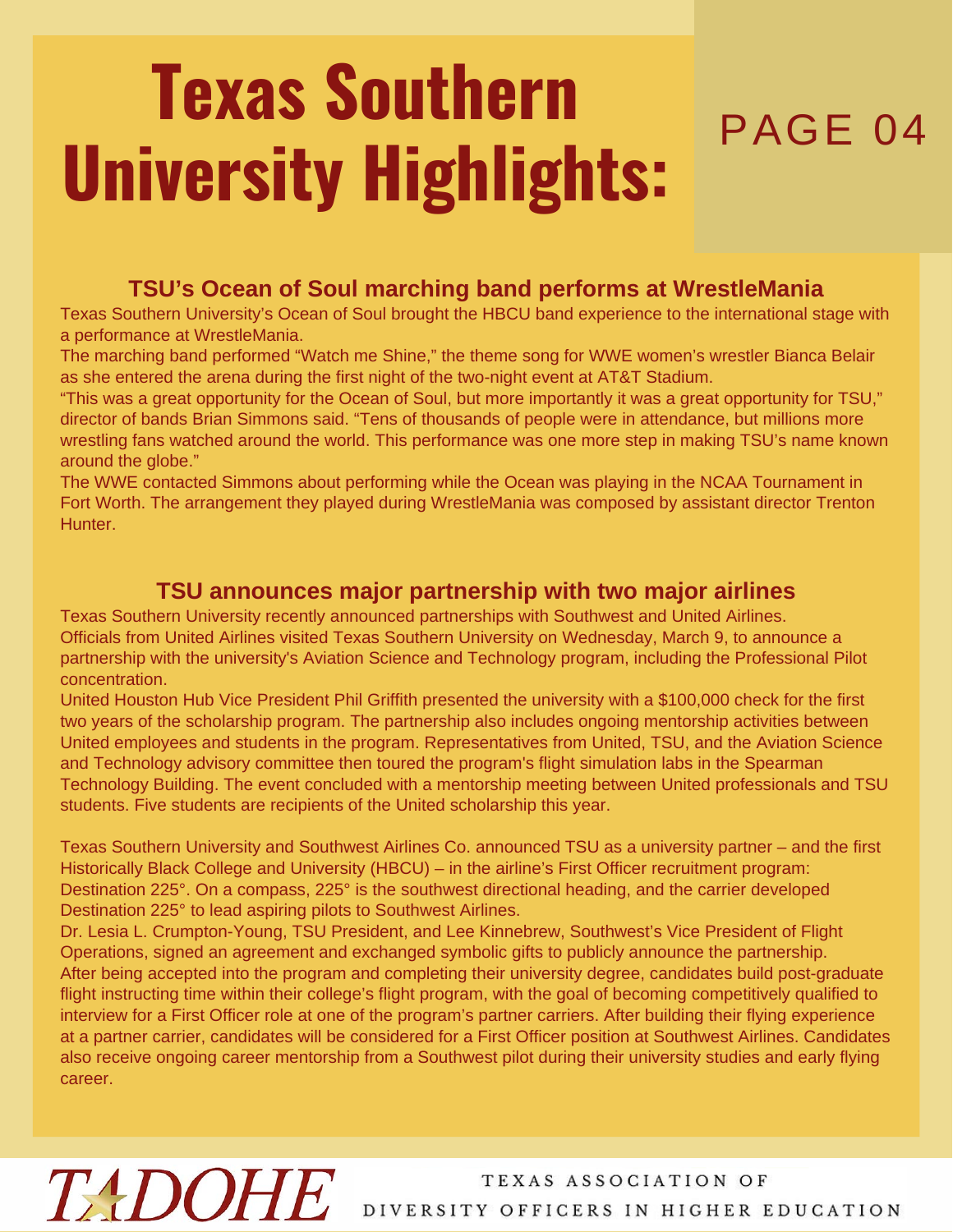# **Texas Southern** PAGE 04 **University Highlights:**

#### **TSU's Ocean of Soul marching band performs at WrestleMania**

Texas Southern University's Ocean of Soul brought the HBCU band experience to the international stage with a performance at WrestleMania.

The marching band performed "Watch me Shine," the theme song for WWE women's wrestler Bianca Belair as she entered the arena during the first night of the two-night event at AT&T Stadium.

"This was a great opportunity for the Ocean of Soul, but more importantly it was a great opportunity for TSU," director of bands Brian Simmons said. "Tens of thousands of people were in attendance, but millions more wrestling fans watched around the world. This performance was one more step in making TSU's name known around the globe."

The WWE contacted Simmons about performing while the Ocean was playing in the NCAA Tournament in Fort Worth. The arrangement they played during WrestleMania was composed by assistant director Trenton Hunter.

#### **TSU announces major partnership with two major airlines**

Texas Southern University recently announced partnerships with Southwest and United Airlines. Officials from United Airlines visited Texas Southern University on Wednesday, March 9, to announce a partnership with the university's Aviation Science and Technology program, including the Professional Pilot concentration.

United Houston Hub Vice President Phil Griffith presented the university with a \$100,000 check for the first two years of the scholarship program. The partnership also includes ongoing mentorship activities between United employees and students in the program. Representatives from United, TSU, and the Aviation Science and Technology advisory committee then toured the program's flight simulation labs in the Spearman Technology Building. The event concluded with a mentorship meeting between United professionals and TSU students. Five students are recipients of the United scholarship this year.

Texas Southern University and Southwest Airlines Co. announced TSU as a university partner – and the first Historically Black College and University (HBCU) – in the airline's First Officer recruitment program: Destination 225°. On a compass, 225° is the southwest directional heading, and the carrier developed Destination 225° to lead aspiring pilots to Southwest Airlines.

Dr. Lesia L. Crumpton-Young, TSU President, and Lee Kinnebrew, Southwest's Vice President of Flight Operations, signed an agreement and exchanged symbolic gifts to publicly announce the partnership. After being accepted into the program and completing their university degree, candidates build post-graduate flight instructing time within their college's flight program, with the goal of becoming competitively qualified to interview for a First Officer role at one of the program's partner carriers. After building their flying experience at a partner carrier, candidates will be considered for a First Officer position at Southwest Airlines. Candidates also receive ongoing career mentorship from a Southwest pilot during their university studies and early flying career.

# **TADOHE**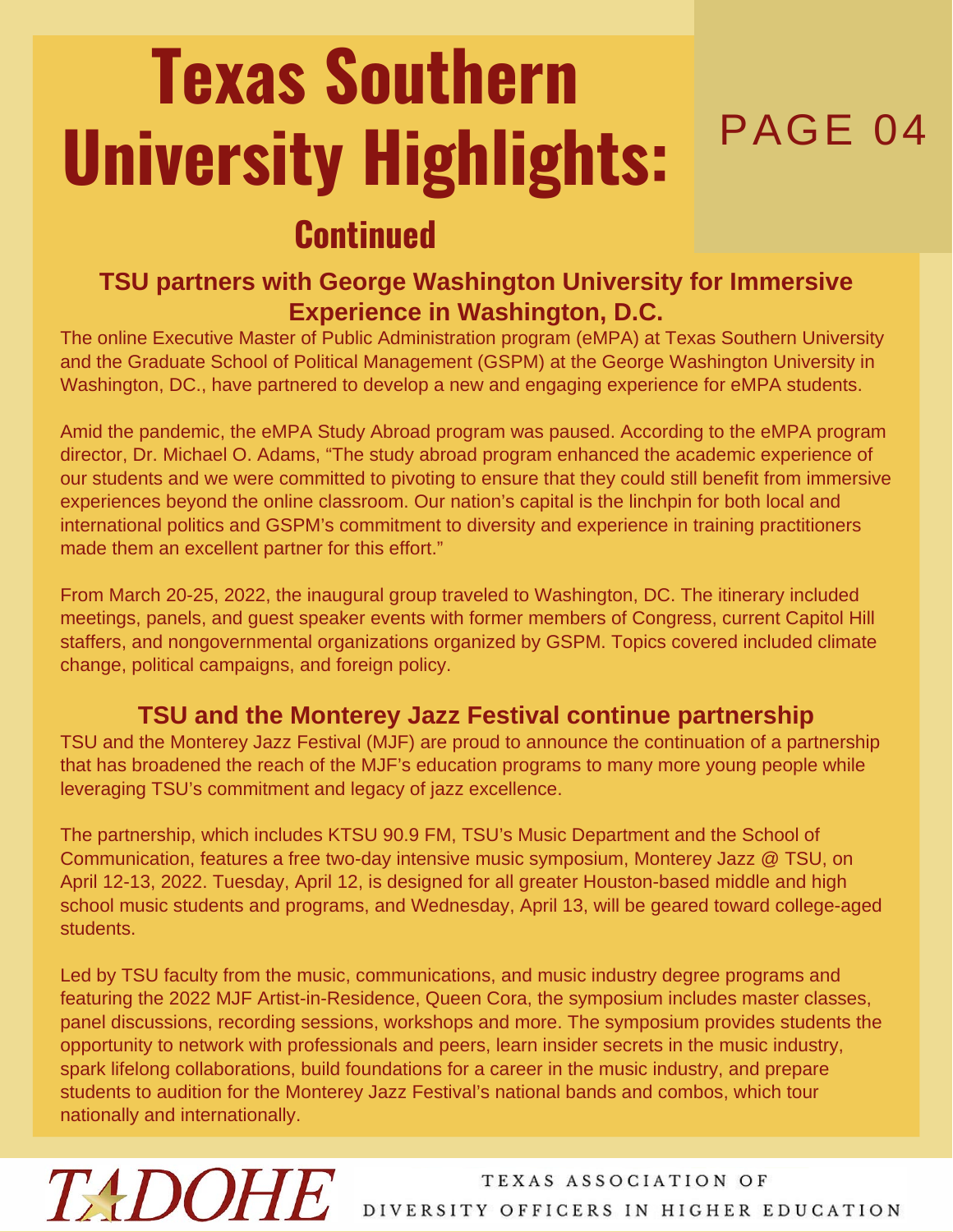## PAGE 04 **Texas Southern University Highlights:**

### **Continued**

#### **TSU partners with George Washington University for Immersive Experience in Washington, D.C.**

The online Executive Master of Public Administration program (eMPA) at Texas Southern University and the Graduate School of Political Management (GSPM) at the George Washington University in Washington, DC., have partnered to develop a new and engaging experience for eMPA students.

Amid the pandemic, the eMPA Study Abroad program was paused. According to the eMPA program director, Dr. Michael O. Adams, "The study abroad program enhanced the academic experience of our students and we were committed to pivoting to ensure that they could still benefit from immersive experiences beyond the online classroom. Our nation's capital is the linchpin for both local and international politics and GSPM's commitment to diversity and experience in training practitioners made them an excellent partner for this effort."

From March 20-25, 2022, the inaugural group traveled to Washington, DC. The itinerary included meetings, panels, and guest speaker events with former members of Congress, current Capitol Hill staffers, and nongovernmental organizations organized by GSPM. Topics covered included climate change, political campaigns, and foreign policy.

### **TSU and the Monterey Jazz Festival continue partnership**

TSU and the Monterey Jazz Festival (MJF) are proud to announce the continuation of a partnership that has broadened the reach of the MJF's education programs to many more young people while leveraging TSU's commitment and legacy of jazz excellence.

The partnership, which includes KTSU 90.9 FM, TSU's Music Department and the School of Communication, features a free two-day intensive music symposium, Monterey Jazz @ TSU, on April 12-13, 2022. Tuesday, April 12, is designed for all greater Houston-based middle and high school music students and programs, and Wednesday, April 13, will be geared toward college-aged students.

Led by TSU faculty from the music, communications, and music industry degree programs and featuring the 2022 MJF Artist-in-Residence, Queen Cora, the symposium includes master classes, panel discussions, recording sessions, workshops and more. The symposium provides students the opportunity to network with professionals and peers, learn insider secrets in the music industry, spark lifelong collaborations, build foundations for a career in the music industry, and prepare students to audition for the Monterey Jazz Festival's national bands and combos, which tour nationally and internationally.

**TADOHE**